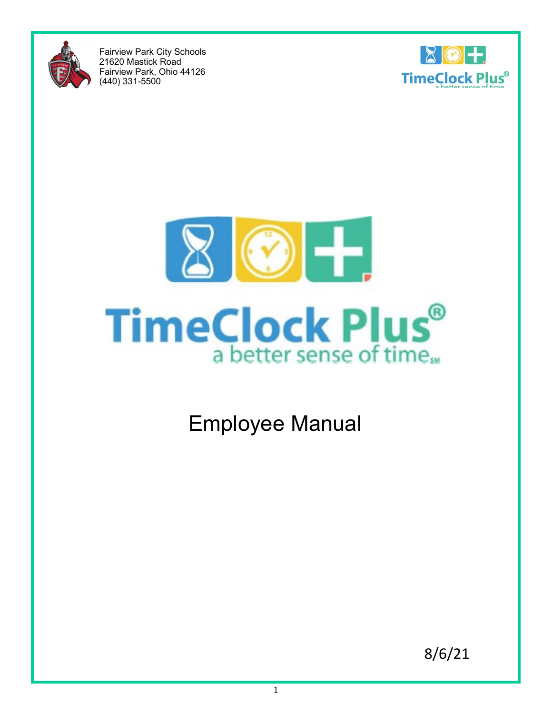







Employee Manual

8/6/21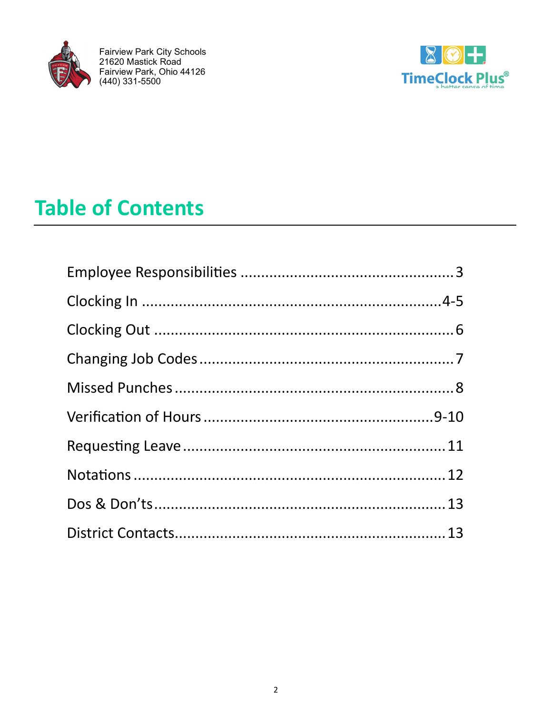



#### **Table of Contents**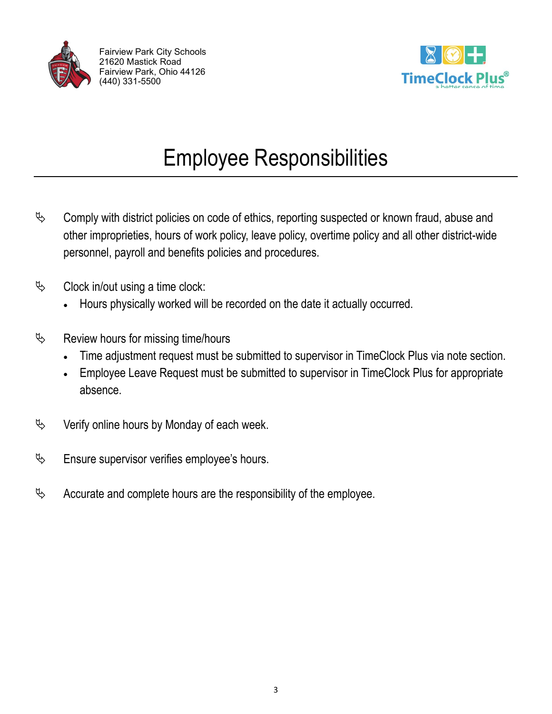



#### Employee Responsibilities

- $\mathfrak{S}$  Comply with district policies on code of ethics, reporting suspected or known fraud, abuse and other improprieties, hours of work policy, leave policy, overtime policy and all other district-wide personnel, payroll and benefits policies and procedures.
- $\mathfrak{S}$  Clock in/out using a time clock:
	- Hours physically worked will be recorded on the date it actually occurred.
- $\&$  Review hours for missing time/hours
	- Time adjustment request must be submitted to supervisor in TimeClock Plus via note section.
	- Employee Leave Request must be submitted to supervisor in TimeClock Plus for appropriate absence.
- $\psi$  Verify online hours by Monday of each week.
- $\mathfrak{S}$  Ensure supervisor verifies employee's hours.
- $\&$  Accurate and complete hours are the responsibility of the employee.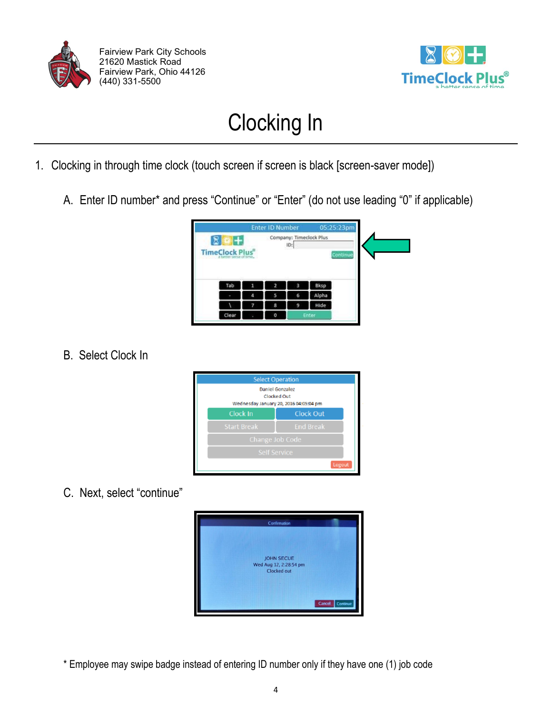



## Clocking In

- 1. Clocking in through time clock (touch screen if screen is black [screen-saver mode])
	- A. Enter ID number\* and press "Continue" or "Enter" (do not use leading "0" if applicable)

|                        |                         |   |    | Company: Timeclock Plus |
|------------------------|-------------------------|---|----|-------------------------|
| <b>TimeClock Plus®</b> | a better sense of time. |   | D: |                         |
|                        |                         |   |    |                         |
| Tab                    |                         | л | з  | Bksp                    |
|                        |                         | 5 | 6  | Alpha                   |
|                        |                         | 8 | 9  | Hide                    |

B. Select Clock In



C. Next, select "continue"



\* Employee may swipe badge instead of entering ID number only if they have one (1) job code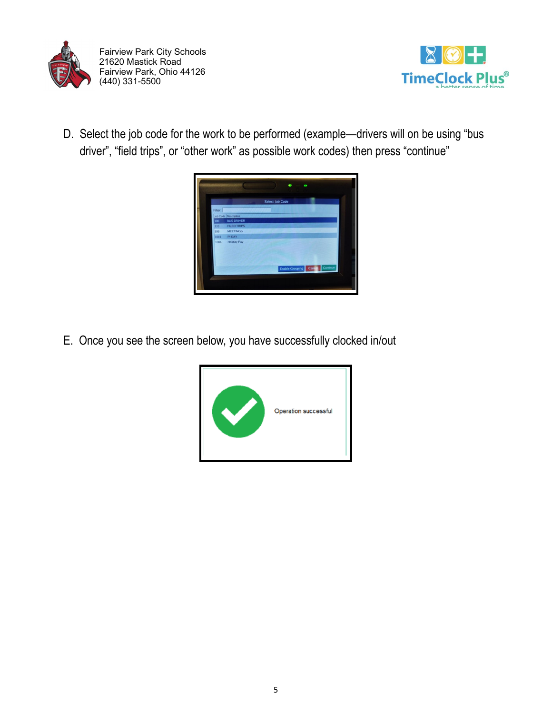



D. Select the job code for the work to be performed (example—drivers will on be using "bus driver", "field trips", or "other work" as possible work codes) then press "continue"



E. Once you see the screen below, you have successfully clocked in/out

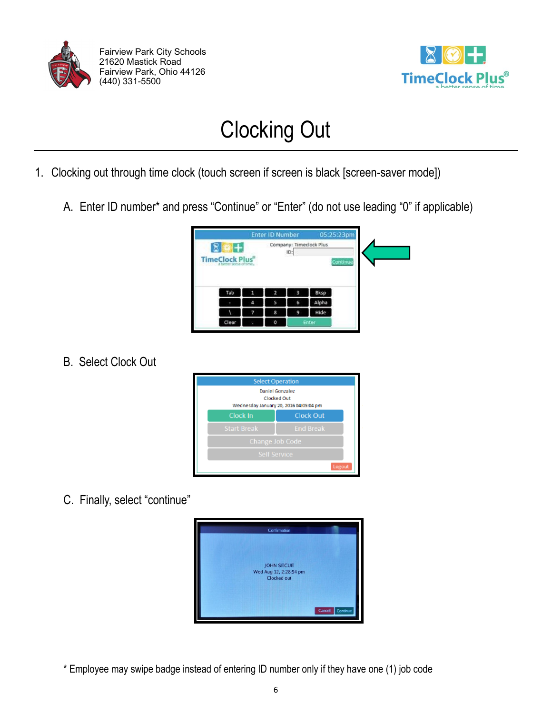



## Clocking Out

- 1. Clocking out through time clock (touch screen if screen is black [screen-saver mode])
	- A. Enter ID number\* and press "Continue" or "Enter" (do not use leading "0" if applicable)

|                                                   |   | <b>Enter ID Number</b> |    | 05:25:23pm              |          |
|---------------------------------------------------|---|------------------------|----|-------------------------|----------|
| <b>TimeClock Plus®</b><br>a better sense of time. |   |                        | D: | Company: Timeclock Plus | Continue |
|                                                   |   |                        |    |                         |          |
| Tab                                               |   |                        | з  | Bksp                    |          |
|                                                   | 4 | 5                      | 6  | Alpha                   |          |
|                                                   | 7 | 8                      | 9  | Hide                    |          |

B. Select Clock Out



C. Finally, select "continue"



\* Employee may swipe badge instead of entering ID number only if they have one (1) job code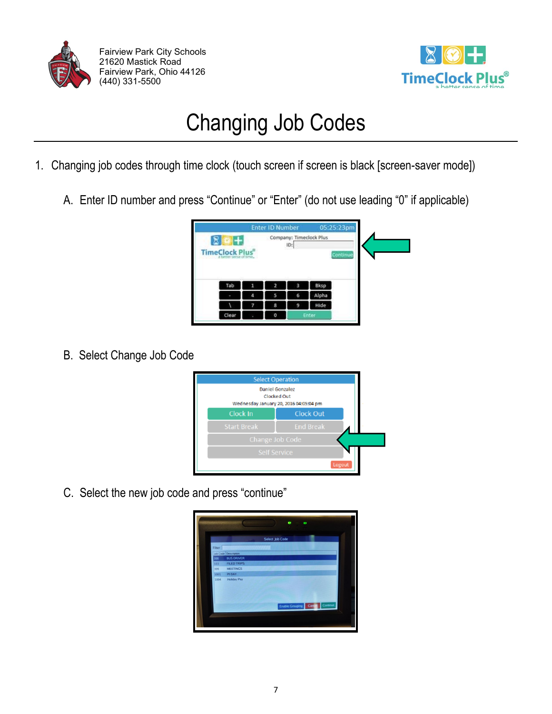



# Changing Job Codes

- 1. Changing job codes through time clock (touch screen if screen is black [screen-saver mode])
	- A. Enter ID number and press "Continue" or "Enter" (do not use leading "0" if applicable)



B. Select Change Job Code



C. Select the new job code and press "continue"

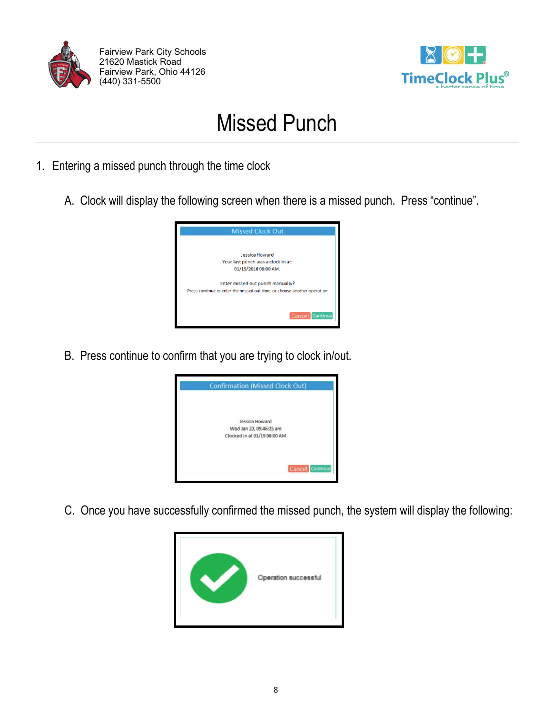



#### Missed Punch

- 1. Entering a missed punch through the time clock
	- A. Clock will display the following screen when there is a missed punch. Press "continue".



B. Press continue to confirm that you are trying to clock in/out.



C. Once you have successfully confirmed the missed punch, the system will display the following:

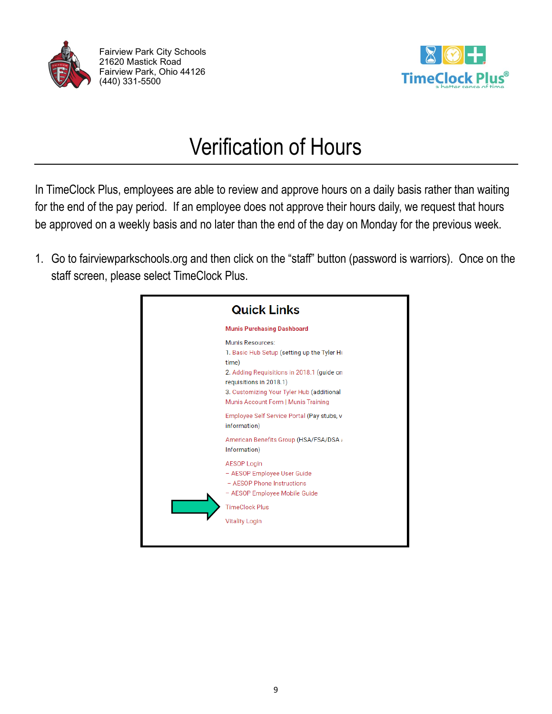



#### Verification of Hours

In TimeClock Plus, employees are able to review and approve hours on a daily basis rather than waiting for the end of the pay period. If an employee does not approve their hours daily, we request that hours be approved on a weekly basis and no later than the end of the day on Monday for the previous week.

1. Go to fairviewparkschools.org and then click on the "staff" button (password is warriors). Once on the staff screen, please select TimeClock Plus.

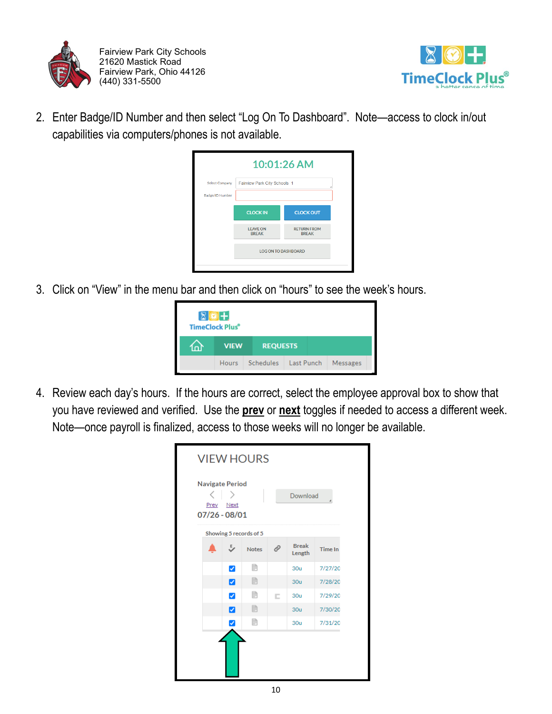



2. Enter Badge/ID Number and then select "Log On To Dashboard". Note—access to clock in/out capabilities via computers/phones is not available.

| 10:01:26 AM           |                                 |                                    |  |  |  |  |
|-----------------------|---------------------------------|------------------------------------|--|--|--|--|
| <b>Select Company</b> | Fairview Park City Schools 1    |                                    |  |  |  |  |
| Badge/ID Number       |                                 |                                    |  |  |  |  |
|                       | <b>CLOCK IN</b>                 | <b>CLOCK OUT</b>                   |  |  |  |  |
|                       | <b>LEAVE ON</b><br><b>BREAK</b> | <b>RETURN FROM</b><br><b>BREAK</b> |  |  |  |  |
|                       | <b>LOG ON TO DASHBOARD</b>      |                                    |  |  |  |  |
|                       |                                 |                                    |  |  |  |  |

3. Click on "View" in the menu bar and then click on "hours" to see the week's hours.



4. Review each day's hours. If the hours are correct, select the employee approval box to show that you have reviewed and verified. Use the **prev** or **next** toggles if needed to access a different week. Note—once payroll is finalized, access to those weeks will no longer be available.

| <b>VIEW HOURS</b><br><b>Navigate Period</b><br>✓<br>$\rightarrow$<br>Download<br>Prev Next<br>$07/26 - 08/01$ |                      |                        |   |                        |                |  |
|---------------------------------------------------------------------------------------------------------------|----------------------|------------------------|---|------------------------|----------------|--|
|                                                                                                               |                      | Showing 5 records of 5 |   |                        |                |  |
|                                                                                                               | シ                    | <b>Notes</b>           | O | <b>Break</b><br>Length | <b>Time In</b> |  |
|                                                                                                               | ✓                    | B                      |   | 30 <sub>u</sub>        | 7/27/20        |  |
|                                                                                                               | ☑                    | B                      |   | 30 <sub>u</sub>        | 7/28/20        |  |
|                                                                                                               | $\blacktriangledown$ | R                      | Е | 30 <sub>u</sub>        | 7/29/20        |  |
|                                                                                                               | ☑                    | B                      |   | 30 <sub>u</sub>        | 7/30/20        |  |
|                                                                                                               | ✓                    | B                      |   | 30 <sub>u</sub>        | 7/31/20        |  |
|                                                                                                               |                      |                        |   |                        |                |  |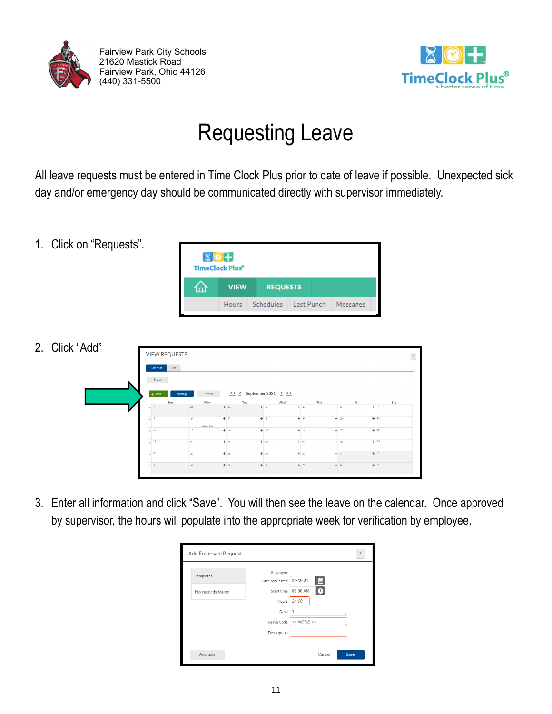



#### Requesting Leave

All leave requests must be entered in Time Clock Plus prior to date of leave if possible. Unexpected sick day and/or emergency day should be communicated directly with supervisor immediately.

1. Click on "Requests".

| $[8] \text{\O}$ +<br><b>TimeClock Plus®</b> |              |                  |            |          |  |  |
|---------------------------------------------|--------------|------------------|------------|----------|--|--|
|                                             | <b>VIEW</b>  | <b>REQUESTS</b>  |            |          |  |  |
|                                             | <b>Hours</b> | <b>Schedules</b> | Last Punch | Messages |  |  |



3. Enter all information and click "Save". You will then see the leave on the calendar. Once approved by supervisor, the hours will populate into the appropriate week for verification by employee.

| Add Employee Request          |                                                           | $\ddot{\phantom{0}}$                                              |
|-------------------------------|-----------------------------------------------------------|-------------------------------------------------------------------|
| Templates<br>No records found | Employee<br>Date requested<br>Start time<br>Hours<br>Days | 8/6/2021<br>画<br>08:00 AM<br>$\bullet$<br>24:00<br>$\overline{1}$ |
|                               | Leave Code                                                | $<< NONE$ >>                                                      |
|                               | Description                                               |                                                                   |
| Accruals                      |                                                           | Save<br>Cancel                                                    |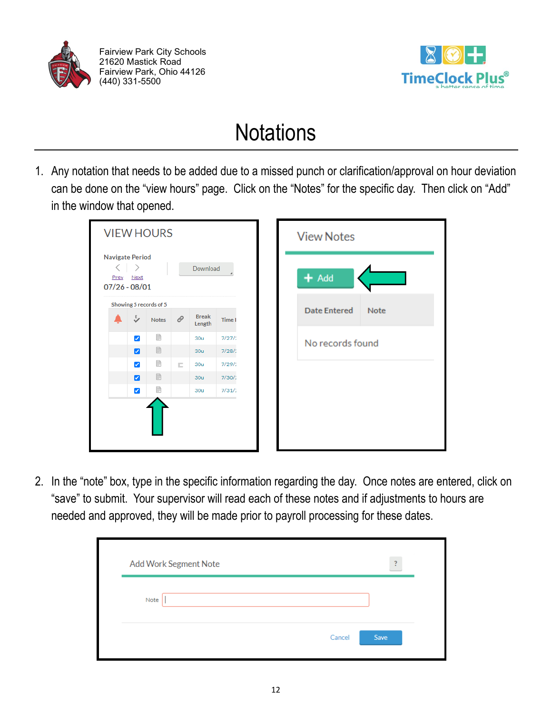



#### **Notations**

1. Any notation that needs to be added due to a missed punch or clarification/approval on hour deviation can be done on the "view hours" page. Click on the "Notes" for the specific day. Then click on "Add" in the window that opened.

|      | <b>VIEW HOURS</b>                                 |        |               |                                    |                  |  | <b>View Notes</b> |      |
|------|---------------------------------------------------|--------|---------------|------------------------------------|------------------|--|-------------------|------|
| Prev | <b>Navigate Period</b><br>Next<br>$07/26 - 08/01$ |        |               | Download                           |                  |  | $+$ Add           |      |
|      | Showing 5 records of 5<br>シ                       | Notes  | $\mathcal{C}$ | <b>Break</b><br>Length             | Time I           |  | Date Entered      | Note |
|      | $\blacktriangledown$<br>M                         | B<br>目 |               | 30 <sub>u</sub><br>30 <sub>u</sub> | 7/27/2<br>7/28/2 |  | No records found  |      |
|      | $\blacktriangledown$<br>M                         | ₿<br>目 | $\Box$        | 30 <sub>u</sub><br>30 <sub>u</sub> | 7/29/2<br>7/30/2 |  |                   |      |
|      | $\blacktriangledown$                              | 目      |               | 30 <sub>u</sub>                    | 7/31/2           |  |                   |      |
|      |                                                   |        |               |                                    |                  |  |                   |      |

2. In the "note" box, type in the specific information regarding the day. Once notes are entered, click on "save" to submit. Your supervisor will read each of these notes and if adjustments to hours are needed and approved, they will be made prior to payroll processing for these dates.

| Add Work Segment Note |        | $\overline{?}$ |
|-----------------------|--------|----------------|
| Note                  |        |                |
|                       | Cancel | Save           |